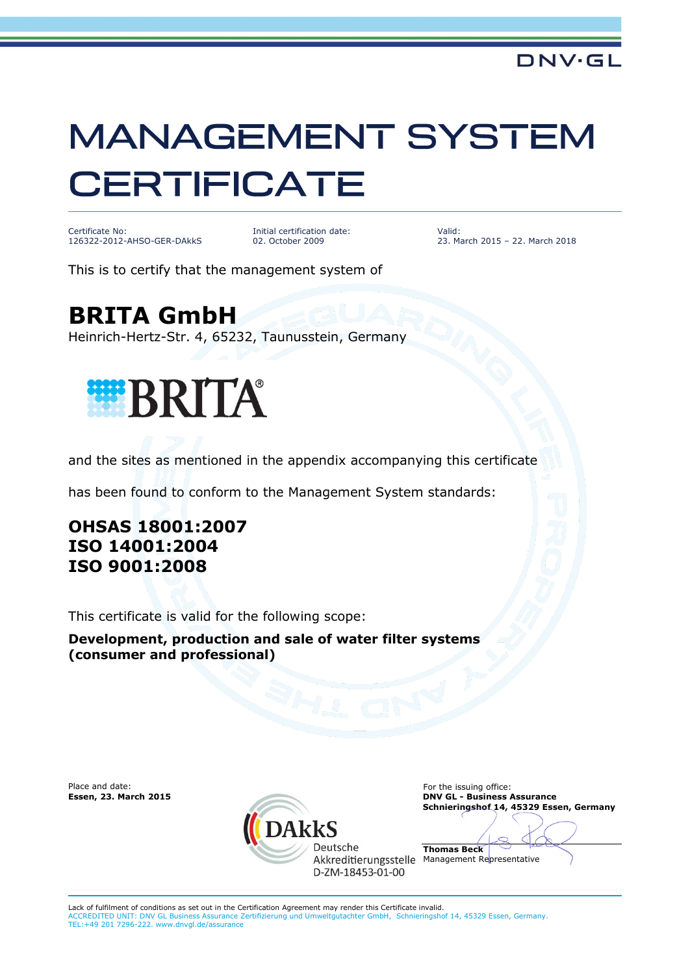## **MANAGEMENT SYSTEM CERTIFICATE**

Certificate No: 126322-2012-AHSO-GER-DAkkS

Initial certification date: 02. October 2009

Valid: 23. March 2015 – 22. March 2018

This is to certify that the management system of

**BRITA GmbH**

Heinrich-Hertz-Str. 4, 65232, Taunusstein, Germany



and the sites as mentioned in the appendix accompanying this certificate

has been found to conform to the Management System standards:

## **OHSAS 18001:2007 ISO 14001:2004 ISO 9001:2008**

This certificate is valid for the following scope:

**Development, production and sale of water filter systems (consumer and professional)**



**Essen, 23. March 2015 DNV GL - Business Assurance Schnieringshof 14, 45329 Essen, Germany**

**Thomas Beck** Akkreditierungsstelle Management Representative

Lack of fulfilment of conditions as set out in the Certification Agreement may render this Certificate invalid.<br>ACCREDITED UNIT: DNV GL Business Assurance Zertifizierung und Umweltgutachter GmbH, Schnieringshof 14, 45329 E ACCREDITED UNIT: DNV GL Business Assurance Zertifizierung und Umweltgutachter GmbH, Schnieringshof 14, 45329 Essen, Germany. TEL:+49 201 7296-222. www.dnvgl.de/assurance